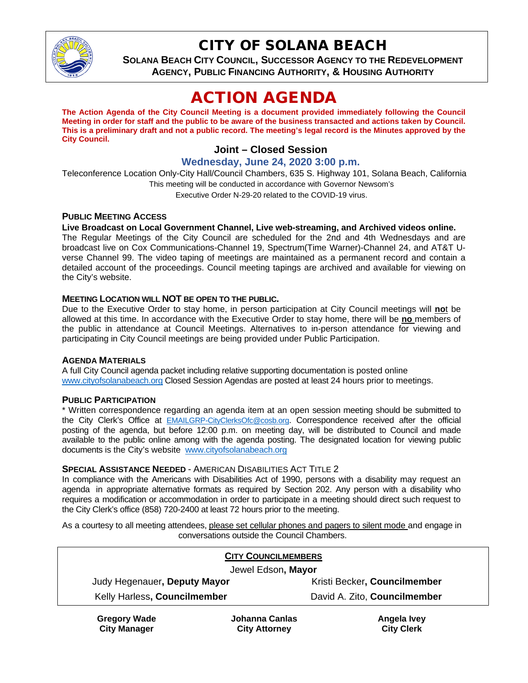

## CITY OF SOLANA BEACH

**SOLANA BEACH CITY COUNCIL, SUCCESSOR AGENCY TO THE REDEVELOPMENT AGENCY, PUBLIC FINANCING AUTHORITY, & HOUSING AUTHORITY**

# ACTION AGENDA

**The Action Agenda of the City Council Meeting is a document provided immediately following the Council Meeting in order for staff and the public to be aware of the business transacted and actions taken by Council. This is a preliminary draft and not a public record. The meeting's legal record is the Minutes approved by the City Council.**

## **Joint – Closed Session**

**Wednesday, June 24, 2020 3:00 p.m.**

Teleconference Location Only-City Hall/Council Chambers, 635 S. Highway 101, Solana Beach, California This meeting will be conducted in accordance with Governor Newsom's Executive Order N-29-20 related to the COVID-19 virus.

#### **PUBLIC MEETING ACCESS**

#### **Live Broadcast on Local Government Channel, Live web-streaming, and Archived videos online.**

The Regular Meetings of the City Council are scheduled for the 2nd and 4th Wednesdays and are broadcast live on Cox Communications-Channel 19, Spectrum(Time Warner)-Channel 24, and AT&T Uverse Channel 99. The video taping of meetings are maintained as a permanent record and contain a detailed account of the proceedings. Council meeting tapings are archived and available for viewing on the City's website.

#### **MEETING LOCATION WILL NOT BE OPEN TO THE PUBLIC.**

Due to the Executive Order to stay home, in person participation at City Council meetings will **no**t be allowed at this time. In accordance with the Executive Order to stay home, there will be **no** members of the public in attendance at Council Meetings. Alternatives to in-person attendance for viewing and participating in City Council meetings are being provided under Public Participation.

#### **AGENDA MATERIALS**

A full City Council agenda packet including relative supporting documentation is posted online [www.cityofsolanabeach.org](https://urldefense.proofpoint.com/v2/url?u=http-3A__www.cityofsolanabeach.org&d=DwQFAg&c=euGZstcaTDllvimEN8b7jXrwqOf-v5A_CdpgnVfiiMM&r=1XAsCUuqwK_tji2t0s1uIQ&m=wny2RVfZJ2tN24LkqZmkUWNpwL_peNtTZUBlTBZiMM4&s=6ATguqxJUOD7VVtloplAbyuyNaVcEh6Fl4q1iw55lCY&e=) Closed Session Agendas are posted at least 24 hours prior to meetings.

#### **PUBLIC PARTICIPATION**

\* Written correspondence regarding an agenda item at an open session meeting should be submitted to the City Clerk's Office at [EMAILGRP-CityClerksOfc@cosb.org.](mailto:EMAILGRP-CityClerksOfc@cosb.org) Correspondence received after the official posting of the agenda, but before 12:00 p.m. on meeting day, will be distributed to Council and made available to the public online among with the agenda posting. The designated location for viewing public documents is the City's website [www.cityofsolanabeach.org](http://www.cityofsolanabeach.org/)

#### **SPECIAL ASSISTANCE NEEDED** - AMERICAN DISABILITIES ACT TITLE 2

In compliance with the Americans with Disabilities Act of 1990, persons with a disability may request an agenda in appropriate alternative formats as required by Section 202. Any person with a disability who requires a modification or accommodation in order to participate in a meeting should direct such request to the City Clerk's office (858) 720-2400 at least 72 hours prior to the meeting.

As a courtesy to all meeting attendees, please set cellular phones and pagers to silent mode and engage in conversations outside the Council Chambers.

| <b>CITY COUNCILMEMBERS</b>   |                |                              |
|------------------------------|----------------|------------------------------|
| Jewel Edson, Mayor           |                |                              |
| Judy Hegenauer, Deputy Mayor |                | Kristi Becker, Councilmember |
| Kelly Harless, Councilmember |                | David A. Zito, Councilmember |
| <b>Gregory Wade</b>          | Johanna Canlas | Angela Ivey                  |

**City Manager**

**Johanna Canlas City Attorney**

**City Clerk**